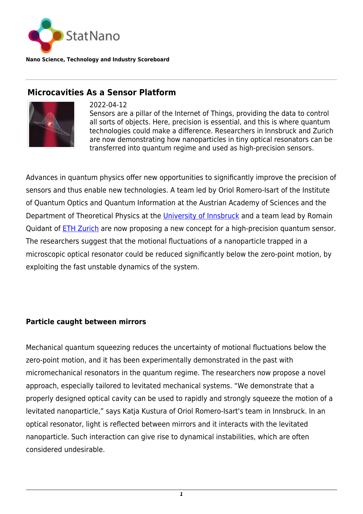

**Nano Science, Technology and Industry Scoreboard**

## **Microcavities As a Sensor Platform**



2022-04-12

Sensors are a pillar of the Internet of Things, providing the data to control all sorts of objects. Here, precision is essential, and this is where quantum technologies could make a difference. Researchers in Innsbruck and Zurich are now demonstrating how nanoparticles in tiny optical resonators can be transferred into quantum regime and used as high-precision sensors.

Advances in quantum physics offer new opportunities to significantly improve the precision of sensors and thus enable new technologies. A team led by Oriol Romero-Isart of the Institute of Quantum Optics and Quantum Information at the Austrian Academy of Sciences and the Department of Theoretical Physics at the [University of Innsbruck](https://www.uibk.ac.at/index.html.en) and a team lead by Romain Quidant of **[ETH Zurich](https://statnano.com/org/Swiss-Federal-Institute-of-Technology-in-Zurich)** are now proposing a new concept for a high-precision quantum sensor. The researchers suggest that the motional fluctuations of a nanoparticle trapped in a microscopic optical resonator could be reduced significantly below the zero-point motion, by exploiting the fast unstable dynamics of the system.

## **Particle caught between mirrors**

Mechanical quantum squeezing reduces the uncertainty of motional fluctuations below the zero-point motion, and it has been experimentally demonstrated in the past with micromechanical resonators in the quantum regime. The researchers now propose a novel approach, especially tailored to levitated mechanical systems. "We demonstrate that a properly designed optical cavity can be used to rapidly and strongly squeeze the motion of a levitated nanoparticle," says Katja Kustura of Oriol Romero-Isart's team in Innsbruck. In an optical resonator, light is reflected between mirrors and it interacts with the levitated nanoparticle. Such interaction can give rise to dynamical instabilities, which are often considered undesirable.